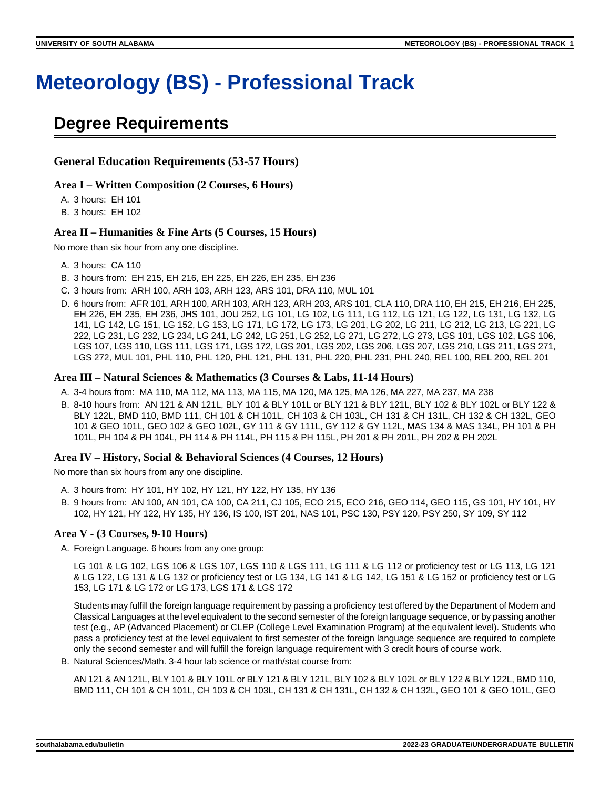# **Meteorology (BS) - Professional Track**

# **Degree Requirements**

#### **General Education Requirements (53-57 Hours)**

#### **Area I – Written Composition (2 Courses, 6 Hours)**

A. 3 hours: EH 101

B. 3 hours: EH 102

#### **Area II – Humanities & Fine Arts (5 Courses, 15 Hours)**

No more than six hour from any one discipline.

- A. 3 hours: CA 110
- B. 3 hours from: EH 215, EH 216, EH 225, EH 226, EH 235, EH 236
- C. 3 hours from: ARH 100, ARH 103, ARH 123, ARS 101, DRA 110, MUL 101
- D. 6 hours from: AFR 101, ARH 100, ARH 103, ARH 123, ARH 203, ARS 101, CLA 110, DRA 110, EH 215, EH 216, EH 225, EH 226, EH 235, EH 236, JHS 101, JOU 252, LG 101, LG 102, LG 111, LG 112, LG 121, LG 122, LG 131, LG 132, LG 141, LG 142, LG 151, LG 152, LG 153, LG 171, LG 172, LG 173, LG 201, LG 202, LG 211, LG 212, LG 213, LG 221, LG 222, LG 231, LG 232, LG 234, LG 241, LG 242, LG 251, LG 252, LG 271, LG 272, LG 273, LGS 101, LGS 102, LGS 106, LGS 107, LGS 110, LGS 111, LGS 171, LGS 172, LGS 201, LGS 202, LGS 206, LGS 207, LGS 210, LGS 211, LGS 271, LGS 272, MUL 101, PHL 110, PHL 120, PHL 121, PHL 131, PHL 220, PHL 231, PHL 240, REL 100, REL 200, REL 201

#### **Area III – Natural Sciences & Mathematics (3 Courses & Labs, 11-14 Hours)**

- A. 3-4 hours from: MA 110, MA 112, MA 113, MA 115, MA 120, MA 125, MA 126, MA 227, MA 237, MA 238
- B. 8-10 hours from: AN 121 & AN 121L, BLY 101 & BLY 101L or BLY 121 & BLY 121L, BLY 102 & BLY 102L or BLY 122 & BLY 122L, BMD 110, BMD 111, CH 101 & CH 101L, CH 103 & CH 103L, CH 131 & CH 131L, CH 132 & CH 132L, GEO 101 & GEO 101L, GEO 102 & GEO 102L, GY 111 & GY 111L, GY 112 & GY 112L, MAS 134 & MAS 134L, PH 101 & PH 101L, PH 104 & PH 104L, PH 114 & PH 114L, PH 115 & PH 115L, PH 201 & PH 201L, PH 202 & PH 202L

#### **Area IV – History, Social & Behavioral Sciences (4 Courses, 12 Hours)**

No more than six hours from any one discipline.

- A. 3 hours from: HY 101, HY 102, HY 121, HY 122, HY 135, HY 136
- B. 9 hours from: AN 100, AN 101, CA 100, CA 211, CJ 105, ECO 215, ECO 216, GEO 114, GEO 115, GS 101, HY 101, HY 102, HY 121, HY 122, HY 135, HY 136, IS 100, IST 201, NAS 101, PSC 130, PSY 120, PSY 250, SY 109, SY 112

#### **Area V - (3 Courses, 9-10 Hours)**

A. Foreign Language. 6 hours from any one group:

LG 101 & LG 102, LGS 106 & LGS 107, LGS 110 & LGS 111, LG 111 & LG 112 or proficiency test or LG 113, LG 121 & LG 122, LG 131 & LG 132 or proficiency test or LG 134, LG 141 & LG 142, LG 151 & LG 152 or proficiency test or LG 153, LG 171 & LG 172 or LG 173, LGS 171 & LGS 172

Students may fulfill the foreign language requirement by passing a proficiency test offered by the Department of Modern and Classical Languages at the level equivalent to the second semester of the foreign language sequence, or by passing another test (e.g., AP (Advanced Placement) or CLEP (College Level Examination Program) at the equivalent level). Students who pass a proficiency test at the level equivalent to first semester of the foreign language sequence are required to complete only the second semester and will fulfill the foreign language requirement with 3 credit hours of course work.

B. Natural Sciences/Math. 3-4 hour lab science or math/stat course from:

AN 121 & AN 121L, BLY 101 & BLY 101L or BLY 121 & BLY 121L, BLY 102 & BLY 102L or BLY 122 & BLY 122L, BMD 110, BMD 111, CH 101 & CH 101L, CH 103 & CH 103L, CH 131 & CH 131L, CH 132 & CH 132L, GEO 101 & GEO 101L, GEO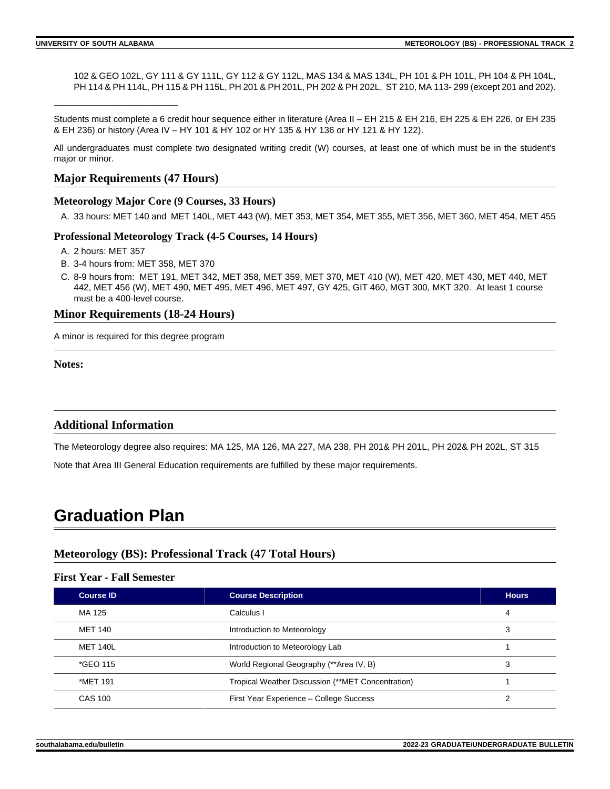\_\_\_\_\_\_\_\_\_\_\_\_\_\_\_\_\_\_\_\_\_\_\_\_\_

102 & GEO 102L, GY 111 & GY 111L, GY 112 & GY 112L, MAS 134 & MAS 134L, PH 101 & PH 101L, PH 104 & PH 104L, PH 114 & PH 114L, PH 115 & PH 115L, PH 201 & PH 201L, PH 202 & PH 202L, ST 210, MA 113-299 (except 201 and 202).

Students must complete a 6 credit hour sequence either in literature (Area II – EH 215 & EH 216, EH 225 & EH 226, or EH 235 & EH 236) or history (Area IV – HY 101 & HY 102 or HY 135 & HY 136 or HY 121 & HY 122).

All undergraduates must complete two designated writing credit (W) courses, at least one of which must be in the student's major or minor.

#### **Major Requirements (47 Hours)**

#### **Meteorology Major Core (9 Courses, 33 Hours)**

A. 33 hours: MET 140 and MET 140L, MET 443 (W), MET 353, MET 354, MET 355, MET 356, MET 360, MET 454, MET 455

#### **Professional Meteorology Track (4-5 Courses, 14 Hours)**

- A. 2 hours: MET 357
- B. 3-4 hours from: MET 358, MET 370
- C. 8-9 hours from: MET 191, MET 342, MET 358, MET 359, MET 370, MET 410 (W), MET 420, MET 430, MET 440, MET 442, MET 456 (W), MET 490, MET 495, MET 496, MET 497, GY 425, GIT 460, MGT 300, MKT 320. At least 1 course must be a 400-level course.

#### **Minor Requirements (18-24 Hours)**

A minor is required for this degree program

**Notes:**

#### **Additional Information**

The Meteorology degree also requires: MA 125, MA 126, MA 227, MA 238, PH 201& PH 201L, PH 202& PH 202L, ST 315

Note that Area III General Education requirements are fulfilled by these major requirements.

# **Graduation Plan**

#### **Meteorology (BS): Professional Track (47 Total Hours)**

#### **First Year - Fall Semester**

| <b>Course ID</b> | <b>Course Description</b>                         | <b>Hours</b> |
|------------------|---------------------------------------------------|--------------|
| MA 125           | Calculus I                                        | 4            |
| MET 140          | Introduction to Meteorology                       | 3            |
| <b>MET 140L</b>  | Introduction to Meteorology Lab                   |              |
| *GEO 115         | World Regional Geography (**Area IV, B)           | 3            |
| *MET 191         | Tropical Weather Discussion (**MET Concentration) |              |
| <b>CAS 100</b>   | First Year Experience - College Success           | っ            |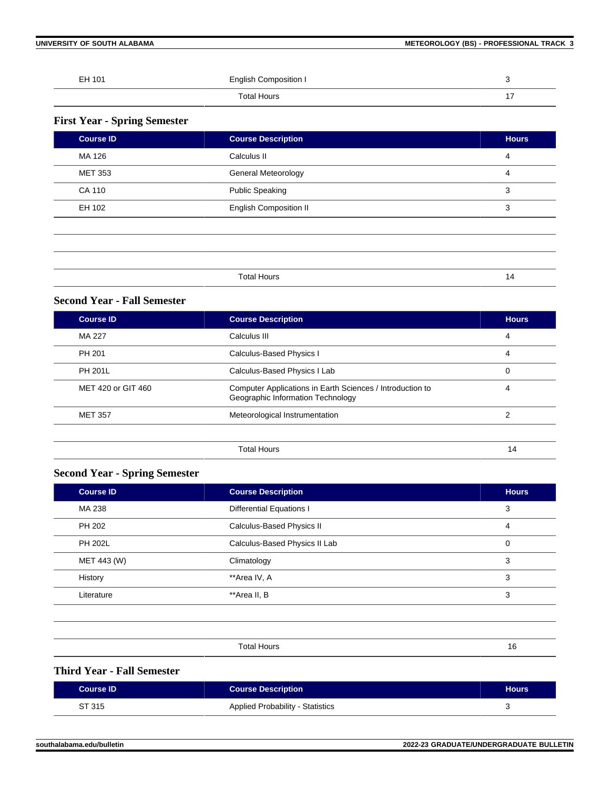**UNIVERSITY OF SOUTH ALABAMA METEOROLOGY (BS) - PROFESSIONAL TRACK 3**

| EH 101 | <b>English Composition I</b> | ີ |
|--------|------------------------------|---|
|        | Total Hours                  | - |

### **First Year - Spring Semester**

| <b>Course ID</b> | <b>Course Description</b>     | <b>Hours</b> |
|------------------|-------------------------------|--------------|
| MA 126           | Calculus II                   | 4            |
| <b>MET 353</b>   | General Meteorology           | 4            |
| CA 110           | <b>Public Speaking</b>        | 3            |
| EH 102           | <b>English Composition II</b> | 3            |
|                  |                               |              |
|                  |                               |              |
|                  |                               |              |
|                  | <b>Total Hours</b>            | 14           |

#### **Second Year - Fall Semester**

| <b>Course ID</b>   | <b>Course Description</b>                                                                      | <b>Hours</b> |
|--------------------|------------------------------------------------------------------------------------------------|--------------|
| MA 227             | Calculus III                                                                                   | 4            |
| PH 201             | Calculus-Based Physics I                                                                       | 4            |
| <b>PH 201L</b>     | Calculus-Based Physics I Lab                                                                   | 0            |
| MET 420 or GIT 460 | Computer Applications in Earth Sciences / Introduction to<br>Geographic Information Technology | 4            |
| <b>MET 357</b>     | Meteorological Instrumentation                                                                 | 2            |
|                    |                                                                                                |              |
|                    | <b>Total Hours</b>                                                                             | 14           |

### **Second Year - Spring Semester**

| <b>Course ID</b> | <b>Course Description</b>       | <b>Hours</b> |
|------------------|---------------------------------|--------------|
| MA 238           | <b>Differential Equations I</b> | 3            |
| PH 202           | Calculus-Based Physics II       | 4            |
| <b>PH 202L</b>   | Calculus-Based Physics II Lab   | 0            |
| MET 443 (W)      | Climatology                     | 3            |
| History          | **Area IV, A                    | 3            |
| Literature       | **Area II, B                    | 3            |
|                  |                                 |              |

| $\sim$ $\sim$ $\sim$ $\sim$ $\sim$ $\sim$ $\sim$ $\sim$ | $\sim$ |
|---------------------------------------------------------|--------|
|                                                         |        |

#### **Third Year - Fall Semester**

| <b>Course ID</b> | <b>Course Description</b>               | <b>Hours</b> |
|------------------|-----------------------------------------|--------------|
| ST 315           | <b>Applied Probability - Statistics</b> |              |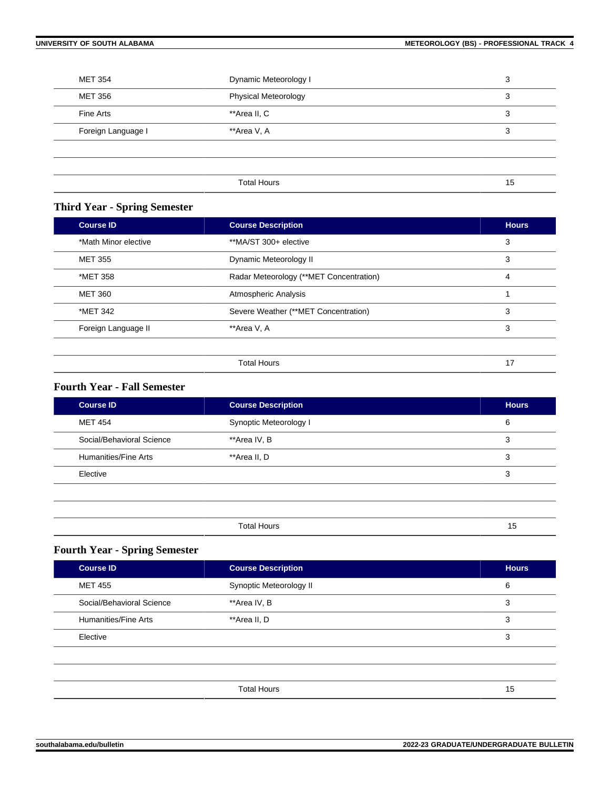| <b>MET 354</b>     | Dynamic Meteorology I       | 3  |
|--------------------|-----------------------------|----|
| MET 356            | <b>Physical Meteorology</b> | 3  |
| Fine Arts          | **Area II, C                | 3  |
| Foreign Language I | **Area V, A                 | 3  |
|                    |                             |    |
|                    |                             |    |
|                    | <b>Total Hours</b>          | 15 |

### **Third Year - Spring Semester**

| <b>Course ID</b>     | <b>Course Description</b>               | <b>Hours</b> |
|----------------------|-----------------------------------------|--------------|
| *Math Minor elective | **MA/ST 300+ elective                   | 3            |
| <b>MET 355</b>       | Dynamic Meteorology II                  | 3            |
| *MET 358             | Radar Meteorology (**MET Concentration) | 4            |
| <b>MET 360</b>       | Atmospheric Analysis                    |              |
| *MET 342             | Severe Weather (**MET Concentration)    | 3            |
| Foreign Language II  | **Area V, A                             | 3            |
|                      |                                         |              |
|                      | <b>Total Hours</b>                      | 17           |

#### **Fourth Year - Fall Semester**

| <b>Course ID</b>          | <b>Course Description</b> | <b>Hours</b> |
|---------------------------|---------------------------|--------------|
| <b>MET 454</b>            | Synoptic Meteorology I    | 6            |
| Social/Behavioral Science | **Area IV, B              | 3            |
| Humanities/Fine Arts      | **Area II, D              | 3            |
| Elective                  |                           | 3            |
|                           |                           |              |
|                           |                           |              |
|                           | <b>Total Hours</b>        | 15           |

## **Fourth Year - Spring Semester**

| <b>Course ID</b>          | <b>Course Description</b> | <b>Hours</b> |
|---------------------------|---------------------------|--------------|
| <b>MET 455</b>            | Synoptic Meteorology II   | 6            |
| Social/Behavioral Science | **Area IV, B              | 3            |
| Humanities/Fine Arts      | **Area II, D              | 3            |
| Elective                  |                           | 3            |
|                           |                           |              |
|                           |                           |              |
|                           | <b>Total Hours</b>        | 15           |